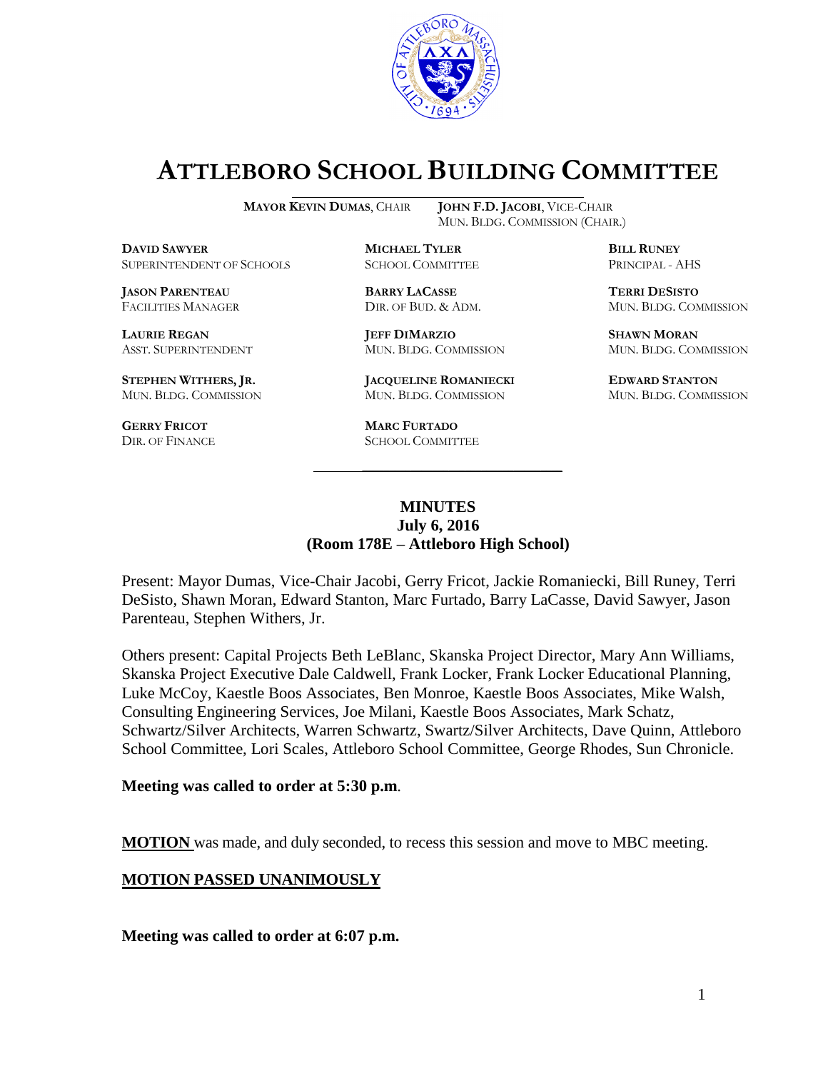

# **ATTLEBORO SCHOOL BUILDING COMMITTEE**

MUN. BLDG. COMMISSION (CHAIR.)

**MAYOR KEVIN DUMAS**, CHAIR **JOHN F.D. JACOBI**, VICE-CHAIR

**DAVID SAWYER MICHAEL TYLER BILL RUNEY** SUPERINTENDENT OF SCHOOLS SCHOOL COMMITTEE PRINCIPAL - AHS

**JASON PARENTEAU BARRY LACASSE TERRI DESISTO**

**STEPHEN WITHERS, JR. JACQUELINE ROMANIECKI EDWARD STANTON**

**GERRY FRICOT MARC FURTADO**

**LAURIE REGAN JEFF DIMARZIO SHAWN MORAN** ASST. SUPERINTENDENT MUN. BLDG. COMMISSION MUN. BLDG. COMMISSION

MUN. BLDG. COMMISSION MUN. BLDG. COMMISSION MUN. BLDG. COMMISSION

SCHOOL COMMITTEE

FACILITIES MANAGER DIR. OF BUD. & ADM. MUN. BLDG. COMMISSION

#### **MINUTES July 6, 2016 (Room 178E – Attleboro High School)**

\_\_\_\_\_\_\_\_\_\_\_\_\_\_\_\_\_\_\_\_\_\_\_\_\_\_\_\_\_\_\_\_\_\_\_\_\_

Present: Mayor Dumas, Vice-Chair Jacobi, Gerry Fricot, Jackie Romaniecki, Bill Runey, Terri DeSisto, Shawn Moran, Edward Stanton, Marc Furtado, Barry LaCasse, David Sawyer, Jason Parenteau, Stephen Withers, Jr.

Others present: Capital Projects Beth LeBlanc, Skanska Project Director, Mary Ann Williams, Skanska Project Executive Dale Caldwell, Frank Locker, Frank Locker Educational Planning, Luke McCoy, Kaestle Boos Associates, Ben Monroe, Kaestle Boos Associates, Mike Walsh, Consulting Engineering Services, Joe Milani, Kaestle Boos Associates, Mark Schatz, Schwartz/Silver Architects, Warren Schwartz, Swartz/Silver Architects, Dave Quinn, Attleboro School Committee, Lori Scales, Attleboro School Committee, George Rhodes, Sun Chronicle.

#### **Meeting was called to order at 5:30 p.m**.

**MOTION** was made, and duly seconded, to recess this session and move to MBC meeting.

#### **MOTION PASSED UNANIMOUSLY**

**Meeting was called to order at 6:07 p.m.**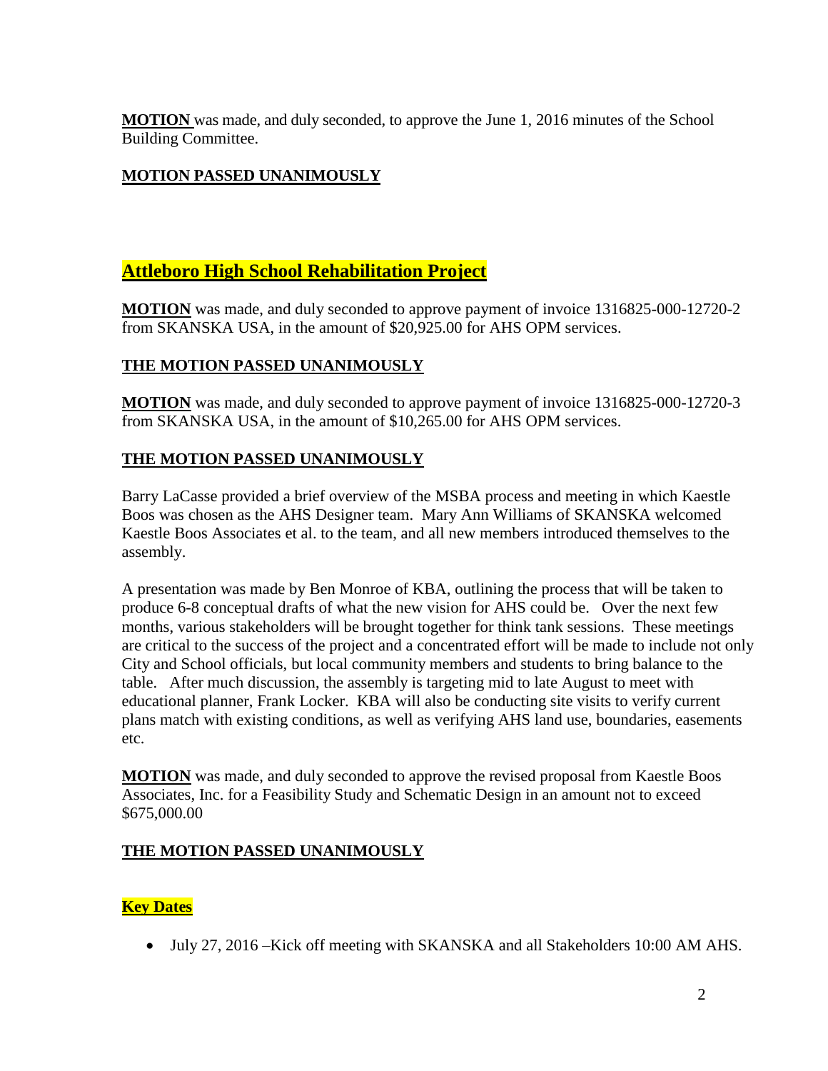**MOTION** was made, and duly seconded, to approve the June 1, 2016 minutes of the School Building Committee.

## **MOTION PASSED UNANIMOUSLY**

# **Attleboro High School Rehabilitation Project**

**MOTION** was made, and duly seconded to approve payment of invoice 1316825-000-12720-2 from SKANSKA USA, in the amount of \$20,925.00 for AHS OPM services.

## **THE MOTION PASSED UNANIMOUSLY**

**MOTION** was made, and duly seconded to approve payment of invoice 1316825-000-12720-3 from SKANSKA USA, in the amount of \$10,265.00 for AHS OPM services.

## **THE MOTION PASSED UNANIMOUSLY**

Barry LaCasse provided a brief overview of the MSBA process and meeting in which Kaestle Boos was chosen as the AHS Designer team. Mary Ann Williams of SKANSKA welcomed Kaestle Boos Associates et al. to the team, and all new members introduced themselves to the assembly.

A presentation was made by Ben Monroe of KBA, outlining the process that will be taken to produce 6-8 conceptual drafts of what the new vision for AHS could be. Over the next few months, various stakeholders will be brought together for think tank sessions. These meetings are critical to the success of the project and a concentrated effort will be made to include not only City and School officials, but local community members and students to bring balance to the table. After much discussion, the assembly is targeting mid to late August to meet with educational planner, Frank Locker. KBA will also be conducting site visits to verify current plans match with existing conditions, as well as verifying AHS land use, boundaries, easements etc.

**MOTION** was made, and duly seconded to approve the revised proposal from Kaestle Boos Associates, Inc. for a Feasibility Study and Schematic Design in an amount not to exceed \$675,000.00

## **THE MOTION PASSED UNANIMOUSLY**

## **Key Dates**

July 27, 2016 –Kick off meeting with SKANSKA and all Stakeholders 10:00 AM AHS.